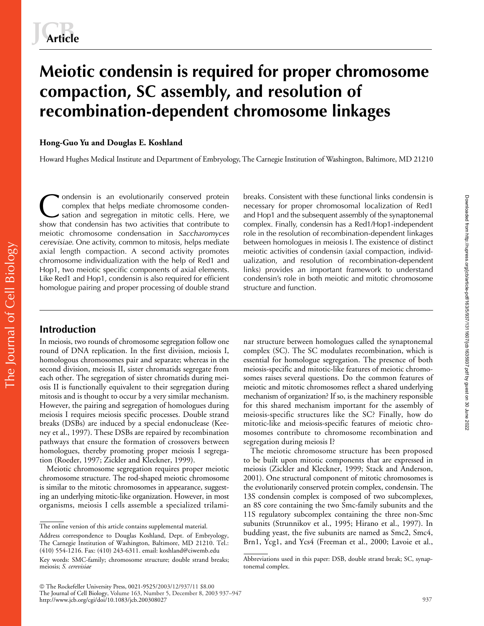# **Meiotic condensin is required for proper chromosome compaction, SC assembly, and resolution of recombination-dependent chromosome linkages**

## **Hong-Guo Yu and Douglas E. Koshland**

Howard Hughes Medical Institute and Department of Embryology, The Carnegie Institution of Washington, Baltimore, MD 21210

ondensin is an evolutionarily conserved protein complex that helps mediate chromosome condensation and segregation in mitotic cells. Here, we show that condensin has two activities that contribute to meiotic chromosome condensation in *Saccharomyces cerevisiae*. One activity, common to mitosis, helps mediate axial length compaction. A second activity promotes chromosome individualization with the help of Red1 and Hop1, two meiotic specific components of axial elements. Like Red1 and Hop1, condensin is also required for efficient homologue pairing and proper processing of double strand ondensin is an evolutionarily conserved protein breaks. Consistent with these functional links condensin is<br>
complex that helps mediate chromosome conden-<br>
sation and segregation in mitotic cells. Here, we and Hop1 and the

necessary for proper chromosomal localization of Red1 and Hop1 and the subsequent assembly of the synaptonemal complex. Finally, condensin has a Red1/Hop1-independent role in the resolution of recombination-dependent linkages between homologues in meiosis I. The existence of distinct meiotic activities of condensin (axial compaction, individualization, and resolution of recombination-dependent links) provides an important framework to understand condensin's role in both meiotic and mitotic chromosome structure and function.

# **Introduction**

In meiosis, two rounds of chromosome segregation follow one round of DNA replication. In the first division, meiosis I, homologous chromosomes pair and separate; whereas in the second division, meiosis II, sister chromatids segregate from each other. The segregation of sister chromatids during meiosis II is functionally equivalent to their segregation during mitosis and is thought to occur by a very similar mechanism. However, the pairing and segregation of homologues during meiosis I requires meiosis specific processes. Double strand breaks (DSBs) are induced by a special endonuclease (Keeney et al., 1997). These DSBs are repaired by recombination pathways that ensure the formation of crossovers between homologues, thereby promoting proper meiosis I segregation (Roeder, 1997; Zickler and Kleckner, 1999).

Meiotic chromosome segregation requires proper meiotic chromosome structure. The rod-shaped meiotic chromosome is similar to the mitotic chromosomes in appearance, suggesting an underlying mitotic-like organization. However, in most organisms, meiosis I cells assemble a specialized trilaminar structure between homologues called the synaptonemal complex (SC). The SC modulates recombination, which is essential for homologue segregation. The presence of both meiosis-specific and mitotic-like features of meiotic chromosomes raises several questions. Do the common features of meiotic and mitotic chromosomes reflect a shared underlying mechanism of organization? If so, is the machinery responsible for this shared mechanism important for the assembly of meiosis-specific structures like the SC? Finally, how do mitotic-like and meiosis-specific features of meiotic chromosomes contribute to chromosome recombination and segregation during meiosis I?

The meiotic chromosome structure has been proposed to be built upon mitotic components that are expressed in meiosis (Zickler and Kleckner, 1999; Stack and Anderson, 2001). One structural component of mitotic chromosomes is the evolutionarily conserved protein complex, condensin. The 13S condensin complex is composed of two subcomplexes, an 8S core containing the two Smc-family subunits and the 11S regulatory subcomplex containing the three non-Smc subunits (Strunnikov et al., 1995; Hirano et al., 1997). In budding yeast, the five subunits are named as Smc2, Smc4, Brn1, Ycg1, and Ycs4 (Freeman et al., 2000; Lavoie et al.,

Downloaded from http://rupress.org/jcb/article-pdf/163/5/37/1311607/jcb1635937.pdf by guest on 30 June 2022 Downloaded from http://rupress.org/jcb/article-pdf/163/5/937/1311607/jcb1635937.pdf by guest on 30 June 2022

The online version of this article contains supplemental material. Address correspondence to Douglas Koshland, Dept. of Embryology, The Carnegie Institution of Washington, Baltimore, MD 21210. Tel.: (410) 554-1216. Fax: (410) 243-6311. email: koshland@ciwemb.edu Key words: SMC-family; chromosome structure; double strand breaks; meiosis; *S. cerevisiae*

Abbreviations used in this paper: DSB, double strand break; SC, synaptonemal complex.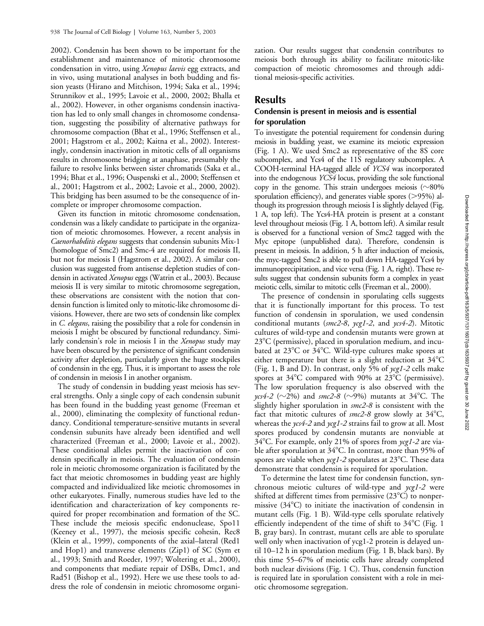2002). Condensin has been shown to be important for the establishment and maintenance of mitotic chromosome condensation in vitro, using *Xenopus laevis* egg extracts, and in vivo, using mutational analyses in both budding and fission yeasts (Hirano and Mitchison, 1994; Saka et al., 1994; Strunnikov et al., 1995; Lavoie et al., 2000, 2002; Bhalla et al., 2002). However, in other organisms condensin inactivation has led to only small changes in chromosome condensation, suggesting the possibility of alternative pathways for chromosome compaction (Bhat et al., 1996; Steffensen et al., 2001; Hagstrom et al., 2002; Kaitna et al., 2002). Interestingly, condensin inactivation in mitotic cells of all organisms results in chromosome bridging at anaphase, presumably the failure to resolve links between sister chromatids (Saka et al., 1994; Bhat et al., 1996; Ouspenski et al., 2000; Steffensen et al., 2001; Hagstrom et al., 2002; Lavoie et al., 2000, 2002). This bridging has been assumed to be the consequence of incomplete or improper chromosome compaction.

Given its function in mitotic chromosome condensation, condensin was a likely candidate to participate in the organization of meiotic chromosomes. However, a recent analysis in *Caenorhabditis elegans* suggests that condensin subunits Mix-1 (homologue of Smc2) and Smc-4 are required for meiosis II, but not for meiosis I (Hagstrom et al., 2002). A similar conclusion was suggested from antisense depletion studies of condensin in activated *Xenopus* eggs (Watrin et al., 2003). Because meiosis II is very similar to mitotic chromosome segregation, these observations are consistent with the notion that condensin function is limited only to mitotic-like chromosome divisions. However, there are two sets of condensin like complex in *C. elegans*, raising the possibility that a role for condensin in meiosis I might be obscured by functional redundancy. Similarly condensin's role in meiosis I in the *Xenopus* study may have been obscured by the persistence of significant condensin activity after depletion, particularly given the huge stockpiles of condensin in the egg. Thus, it is important to assess the role of condensin in meiosis I in another organism.

The study of condensin in budding yeast meiosis has several strengths. Only a single copy of each condensin subunit has been found in the budding yeast genome (Freeman et al., 2000), eliminating the complexity of functional redundancy. Conditional temperature-sensitive mutants in several condensin subunits have already been identified and well characterized (Freeman et al., 2000; Lavoie et al., 2002). These conditional alleles permit the inactivation of condensin specifically in meiosis. The evaluation of condensin role in meiotic chromosome organization is facilitated by the fact that meiotic chromosomes in budding yeast are highly compacted and individualized like meiotic chromosomes in other eukaryotes. Finally, numerous studies have led to the identification and characterization of key components required for proper recombination and formation of the SC. These include the meiosis specific endonuclease, Spo11 (Keeney et al., 1997), the meiosis specific cohesin, Rec8 (Klein et al., 1999), components of the axial–lateral (Red1 and Hop1) and transverse elements (Zip1) of SC (Sym et al., 1993; Smith and Roeder, 1997; Woltering et al., 2000), and components that mediate repair of DSBs, Dmc1, and Rad51 (Bishop et al., 1992). Here we use these tools to address the role of condensin in meiotic chromosome organization. Our results suggest that condensin contributes to meiosis both through its ability to facilitate mitotic-like compaction of meiotic chromosomes and through additional meiosis-specific activities.

## **Results**

### **Condensin is present in meiosis and is essential for sporulation**

To investigate the potential requirement for condensin during meiosis in budding yeast, we examine its meiotic expression (Fig. 1 A). We used Smc2 as representative of the 8S core subcomplex, and Ycs4 of the 11S regulatory subcomplex. A COOH-terminal HA-tagged allele of *YCS4* was incorporated into the endogenous *YCS4* locus, providing the sole functional copy in the genome. This strain undergoes meiosis ( $\sim$ 80% sporulation efficiency), and generates viable spores (>95%) although its progression through meiosis I is slightly delayed (Fig. 1 A, top left). The Ycs4-HA protein is present at a constant level throughout meiosis (Fig. 1 A, bottom left). A similar result is observed for a functional version of Smc2 tagged with the Myc epitope (unpublished data). Therefore, condensin is present in meiosis. In addition, 5 h after induction of meiosis, the myc-tagged Smc2 is able to pull down HA-tagged Ycs4 by immunoprecipitation, and vice versa (Fig. 1 A, right). These results suggest that condensin subunits form a complex in yeast meiotic cells, similar to mitotic cells (Freeman et al., 2000).

The presence of condensin in sporulating cells suggests that it is functionally important for this process. To test function of condensin in sporulation, we used condensin conditional mutants (*smc2-8*, *ycg1-2*, and *ycs4-2*). Mitotic cultures of wild-type and condensin mutants were grown at  $23^{\circ}$ C (permissive), placed in sporulation medium, and incubated at  $23^{\circ}$ C or  $34^{\circ}$ C. Wild-type cultures make spores at either temperature but there is a slight reduction at  $34^{\circ}$ C (Fig. 1, B and D). In contrast, only 5% of *ycg1-2* cells make spores at  $34^{\circ}$ C compared with 90% at  $23^{\circ}$ C (permissive). The low sporulation frequency is also observed with the *ycs4-2* ( $\sim$ 2%) and *smc2-8* ( $\sim$ 9%) mutants at 34°C. The slightly higher sporulation in *smc2-8* is consistent with the fact that mitotic cultures of *smc2-8* grow slowly at 34C, whereas the *ycs4-2* and *ycg1-2* strains fail to grow at all. Most spores produced by condensin mutants are nonviable at 34C. For example, only 21% of spores from *ycg1-2* are viable after sporulation at  $34^{\circ}$ C. In contrast, more than 95% of spores are viable when *ycg1-2* sporulates at 23°C. These data demonstrate that condensin is required for sporulation.

To determine the latest time for condensin function, synchronous meiotic cultures of wild-type and *ycg1-2* were shifted at different times from permissive  $(23^{\circ}C)$  to nonpermissive  $(34^{\circ}C)$  to initiate the inactivation of condensin in mutant cells (Fig. 1 B). Wild-type cells sporulate relatively efficiently independent of the time of shift to  $34^{\circ}$ C (Fig. 1) B, gray bars). In contrast, mutant cells are able to sporulate well only when inactivation of ycg1-2 protein is delayed until 10–12 h in sporulation medium (Fig. 1 B, black bars). By this time 55–67% of meiotic cells have already completed both nuclear divisions (Fig. 1 C). Thus, condensin function is required late in sporulation consistent with a role in meiotic chromosome segregation.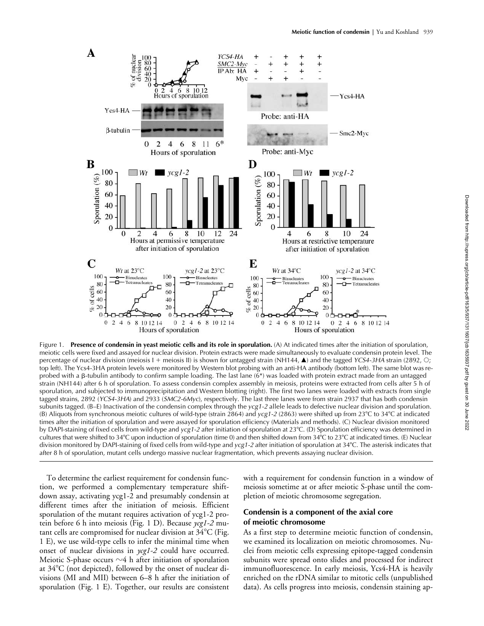

Figure 1. **Presence of condensin in yeast meiotic cells and its role in sporulation.** (A) At indicated times after the initiation of sporulation, meiotic cells were fixed and assayed for nuclear division. Protein extracts were made simultaneously to evaluate condensin protein level. The percentage of nuclear division (meiosis I + meiosis II) is shown for untagged strain (NH144, **A**) and the tagged *YCS4-3HA* strain (2892, O; top left). The Ycs4-3HA protein levels were monitored by Western blot probing with an anti-HA antibody (bottom left). The same blot was reprobed with a  $\beta$ -tubulin antibody to confirm sample loading. The last lane (6\*) was loaded with protein extract made from an untagged strain (NH144) after 6 h of sporulation. To assess condensin complex assembly in meiosis, proteins were extracted from cells after 5 h of sporulation, and subjected to immunoprecipitation and Western blotting (right). The first two lanes were loaded with extracts from single tagged strains, 2892 (*YCS4-3HA*) and 2933 (*SMC2-6Myc*), respectively. The last three lanes were from strain 2937 that has both condensin subunits tagged. (B–E) Inactivation of the condensin complex through the *ycg1-2* allele leads to defective nuclear division and sporulation. (B) Aliquots from synchronous meiotic cultures of wild-type (strain 2864) and *ycg1-2* (2863) were shifted up from 23°C to 34°C at indicated times after the initiation of sporulation and were assayed for sporulation efficiency (Materials and methods). (C) Nuclear division monitored by DAPI-staining of fixed cells from wild-type and *ycg1-2* after initiation of sporulation at 23C. (D) Sporulation efficiency was determined in cultures that were shifted to 34°C upon induction of sporulation (time 0) and then shifted down from 34°C to 23°C at indicated times. (E) Nuclear division monitored by DAPI-staining of fixed cells from wild-type and *ycg1-2* after initiation of sporulation at 34°C. The asterisk indicates that after 8 h of sporulation, mutant cells undergo massive nuclear fragmentation, which prevents assaying nuclear division.

To determine the earliest requirement for condensin function, we performed a complementary temperature shiftdown assay, activating ycg1-2 and presumably condensin at different times after the initiation of meiosis. Efficient sporulation of the mutant requires activation of ycg1-2 protein before 6 h into meiosis (Fig. 1 D). Because *ycg1-2* mutant cells are compromised for nuclear division at  $34^{\circ}$ C (Fig. 1 E), we use wild-type cells to infer the minimal time when onset of nuclear divisions in *ycg1-2* could have occurred. Meiotic S-phase occurs  ${\sim}4$  h after initiation of sporulation at  $34^{\circ}$ C (not depicted), followed by the onset of nuclear divisions (MI and MII) between 6–8 h after the initiation of sporulation (Fig. 1 E). Together, our results are consistent with a requirement for condensin function in a window of meiosis sometime at or after meiotic S-phase until the completion of meiotic chromosome segregation.

### **Condensin is a component of the axial core of meiotic chromosome**

As a first step to determine meiotic function of condensin, we examined its localization on meiotic chromosomes. Nuclei from meiotic cells expressing epitope-tagged condensin subunits were spread onto slides and processed for indirect immunofluorescence. In early meiosis, Ycs4-HA is heavily enriched on the rDNA similar to mitotic cells (unpublished data). As cells progress into meiosis, condensin staining ap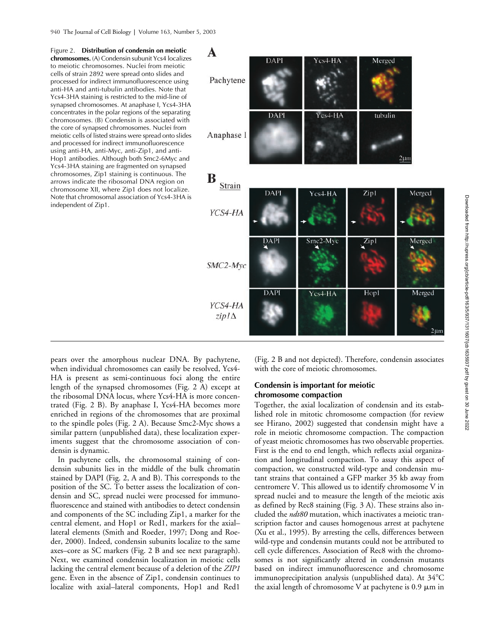Figure 2. **Distribution of condensin on meiotic chromosomes.** (A) Condensin subunit Ycs4 localizes to meiotic chromosomes. Nuclei from meiotic cells of strain 2892 were spread onto slides and processed for indirect immunofluorescence using anti-HA and anti-tubulin antibodies. Note that Ycs4-3HA staining is restricted to the mid-line of synapsed chromosomes. At anaphase I, Ycs4-3HA concentrates in the polar regions of the separating chromosomes. (B) Condensin is associated with the core of synapsed chromosomes. Nuclei from meiotic cells of listed strains were spread onto slides and processed for indirect immunofluorescence using anti-HA, anti-Myc, anti-Zip1, and anti-Hop1 antibodies. Although both Smc2-6Myc and Ycs4-3HA staining are fragmented on synapsed chromosomes, Zip1 staining is continuous. The arrows indicate the ribosomal DNA region on chromosome XII, where Zip1 does not localize. Note that chromosomal association of Ycs4-3HA is independent of Zip1.



pears over the amorphous nuclear DNA. By pachytene, when individual chromosomes can easily be resolved, Ycs4- HA is present as semi-continuous foci along the entire length of the synapsed chromosomes (Fig. 2 A) except at the ribosomal DNA locus, where Ycs4-HA is more concentrated (Fig. 2 B). By anaphase I, Ycs4-HA becomes more enriched in regions of the chromosomes that are proximal to the spindle poles (Fig. 2 A). Because Smc2-Myc shows a similar pattern (unpublished data), these localization experiments suggest that the chromosome association of condensin is dynamic.

In pachytene cells, the chromosomal staining of condensin subunits lies in the middle of the bulk chromatin stained by DAPI (Fig. 2, A and B). This corresponds to the position of the SC. To better assess the localization of condensin and SC, spread nuclei were processed for immunofluorescence and stained with antibodies to detect condensin and components of the SC including Zip1, a marker for the central element, and Hop1 or Red1, markers for the axial– lateral elements (Smith and Roeder, 1997; Dong and Roeder, 2000). Indeed, condensin subunits localize to the same axes–core as SC markers (Fig. 2 B and see next paragraph). Next, we examined condensin localization in meiotic cells lacking the central element because of a deletion of the *ZIP1* gene. Even in the absence of Zip1, condensin continues to localize with axial–lateral components, Hop1 and Red1

(Fig. 2 B and not depicted). Therefore, condensin associates with the core of meiotic chromosomes.

### **Condensin is important for meiotic chromosome compaction**

Together, the axial localization of condensin and its established role in mitotic chromosome compaction (for review see Hirano, 2002) suggested that condensin might have a role in meiotic chromosome compaction. The compaction of yeast meiotic chromosomes has two observable properties. First is the end to end length, which reflects axial organization and longitudinal compaction. To assay this aspect of compaction, we constructed wild-type and condensin mutant strains that contained a GFP marker 35 kb away from centromere V. This allowed us to identify chromosome V in spread nuclei and to measure the length of the meiotic axis as defined by Rec8 staining (Fig. 3 A). These strains also included the *ndt80* mutation, which inactivates a meiotic transcription factor and causes homogenous arrest at pachytene (Xu et al., 1995). By arresting the cells, differences between wild-type and condensin mutants could not be attributed to cell cycle differences. Association of Rec8 with the chromosomes is not significantly altered in condensin mutants based on indirect immunofluorescence and chromosome immunoprecipitation analysis (unpublished data). At  $34^{\circ}$ C the axial length of chromosome V at pachytene is  $0.9 \mu m$  in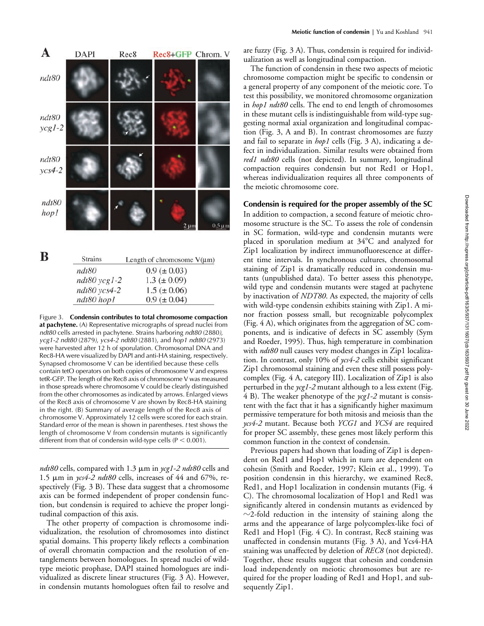| A                 | DAPI                    | Rec <sub>8</sub>                     | Rec8+GFP Chrom. V          |                          |  |
|-------------------|-------------------------|--------------------------------------|----------------------------|--------------------------|--|
| ndt80             |                         |                                      |                            |                          |  |
| ndt80<br>$ycg1-2$ |                         |                                      |                            |                          |  |
| ndt80<br>$ycs4-2$ |                         |                                      |                            |                          |  |
| ndt80<br>hopl     |                         |                                      | $2 \mu m$                  | $0.5 \,\mathrm{\upmu m}$ |  |
| B                 | <b>Strains</b>          |                                      | Length of chromosome V(µm) |                          |  |
|                   | ndt80<br>$ndt80$ ycg1-2 | $0.9 (\pm 0.03)$<br>$1.3 (\pm 0.09)$ |                            |                          |  |
|                   | $ndt80$ $vcs4-2$        |                                      | $1.5 (+ 0.06)$             |                          |  |
|                   |                         |                                      |                            |                          |  |

Figure 3. **Condensin contributes to total chromosome compaction at pachytene.** (A) Representative micrographs of spread nuclei from *ndt80* cells arrested in pachytene. Strains harboring *ndt80* (2880*)*, *ycg1-2 ndt80* (2879*)*, *ycs4-2 ndt80* (2881), and *hop1 ndt80* (2973) were harvested after 12 h of sporulation. Chromosomal DNA and Rec8-HA were visualized by DAPI and anti-HA staining, respectively. Synapsed chromosome V can be identified because these cells contain tetO operators on both copies of chromosome V and express tetR-GFP. The length of the Rec8 axis of chromosome V was measured in those spreads where chromosome V could be clearly distinguished from the other chromosomes as indicated by arrows. Enlarged views of the Rec8 axis of chromosome V are shown by Rec8-HA staining in the right. (B) Summary of average length of the Rec8 axis of chromosome V. Approximately 12 cells were scored for each strain. Standard error of the mean is shown in parentheses. *t* test shows the length of chromosome V from condensin mutants is significantly different from that of condensin wild-type cells ( $P < 0.001$ ).

 $ndt80$  hop  $l$ 

 $0.9 (\pm 0.04)$ 

*ndt80* cells, compared with 1.3  $\mu$ m in *ycg1-2 ndt80* cells and 1.5  $\mu$ m in  $\gamma c s 4$ -2 ndt80 cells, increases of 44 and 67%, respectively (Fig. 3 B). These data suggest that a chromosome axis can be formed independent of proper condensin function, but condensin is required to achieve the proper longitudinal compaction of this axis.

The other property of compaction is chromosome individualization, the resolution of chromosomes into distinct spatial domains. This property likely reflects a combination of overall chromatin compaction and the resolution of entanglements between homologues. In spread nuclei of wildtype meiotic prophase, DAPI stained homologues are individualized as discrete linear structures (Fig. 3 A). However, in condensin mutants homologues often fail to resolve and are fuzzy (Fig. 3 A). Thus, condensin is required for individualization as well as longitudinal compaction.

The function of condensin in these two aspects of meiotic chromosome compaction might be specific to condensin or a general property of any component of the meiotic core. To test this possibility, we monitored chromosome organization in *hop1 ndt80* cells. The end to end length of chromosomes in these mutant cells is indistinguishable from wild-type suggesting normal axial organization and longitudinal compaction (Fig. 3, A and B). In contrast chromosomes are fuzzy and fail to separate in *hop1* cells (Fig. 3 A), indicating a defect in individualization. Similar results were obtained from *red1 ndt80* cells (not depicted). In summary, longitudinal compaction requires condensin but not Red1 or Hop1, whereas individualization requires all three components of the meiotic chromosome core.

### **Condensin is required for the proper assembly of the SC**

In addition to compaction, a second feature of meiotic chromosome structure is the SC. To assess the role of condensin in SC formation, wild-type and condensin mutants were placed in sporulation medium at  $34^{\circ}$ C and analyzed for Zip1 localization by indirect immunofluorescence at different time intervals. In synchronous cultures, chromosomal staining of Zip1 is dramatically reduced in condensin mutants (unpublished data). To better assess this phenotype, wild type and condensin mutants were staged at pachytene by inactivation of *NDT80*. As expected, the majority of cells with wild-type condensin exhibits staining with Zip1. A minor fraction possess small, but recognizable polycomplex (Fig. 4 A), which originates from the aggregation of SC components, and is indicative of defects in SC assembly (Sym and Roeder, 1995). Thus, high temperature in combination with *ndt80* null causes very modest changes in Zip1 localization. In contrast, only 10% of *ycs4-2* cells exhibit significant Zip1 chromosomal staining and even these still possess polycomplex (Fig. 4 A, category III). Localization of Zip1 is also perturbed in the *ycg1-2* mutant although to a less extent (Fig. 4 B). The weaker phenotype of the *ycg1-2* mutant is consistent with the fact that it has a significantly higher maximum permissive temperature for both mitosis and meiosis than the *ycs4-2* mutant. Because both *YCG1* and *YCS4* are required for proper SC assembly, these genes most likely perform this common function in the context of condensin.

Previous papers had shown that loading of Zip1 is dependent on Red1 and Hop1 which in turn are dependent on cohesin (Smith and Roeder, 1997; Klein et al., 1999). To position condensin in this hierarchy, we examined Rec8, Red1, and Hop1 localization in condensin mutants (Fig. 4 C). The chromosomal localization of Hop1 and Red1 was significantly altered in condensin mutants as evidenced by  $\sim$ 2-fold reduction in the intensity of staining along the arms and the appearance of large polycomplex-like foci of Red1 and Hop1 (Fig. 4 C). In contrast, Rec8 staining was unaffected in condensin mutants (Fig. 3 A), and Ycs4-HA staining was unaffected by deletion of *REC8* (not depicted). Together, these results suggest that cohesin and condensin load independently on meiotic chromosomes but are required for the proper loading of Red1 and Hop1, and subsequently Zip1.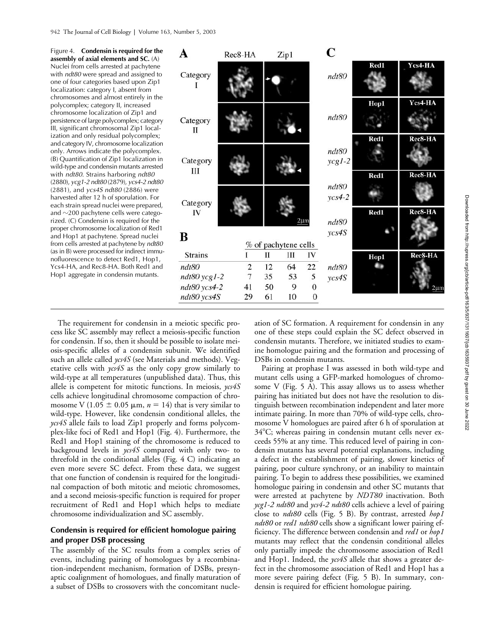Figure 4. **Condensin is required for the assembly of axial elements and SC.** (A) Nuclei from cells arrested at pachytene with *ndt80* were spread and assigned to one of four categories based upon Zip1 localization: category I, absent from chromosomes and almost entirely in the polycomplex; category II, increased chromosome localization of Zip1 and persistence of large polycomplex; category III, significant chromosomal Zip1 localization and only residual polycomplex; and category IV, chromosome localization only. Arrows indicate the polycomplex. (B) Quantification of Zip1 localization in wild-type and condensin mutants arrested with *ndt80*. Strains harboring *ndt80* (2880), *ycg1-2 ndt80* (2879), *ycs4-2 ndt80* (2881), and *ycs4S ndt80* (2886) were harvested after 12 h of sporulation. For each strain spread nuclei were prepared, and  $\sim$ 200 pachytene cells were categorized. (C) Condensin is required for the proper chromosome localization of Red1 and Hop1 at pachytene. Spread nuclei from cells arrested at pachytene by *ndt80* (as in B) were processed for indirect immunofluorescence to detect Red1, Hop1, Ycs4-HA, and Rec8-HA. Both Red1 and Hop1 aggregate in condensin mutants.



The requirement for condensin in a meiotic specific process like SC assembly may reflect a meiosis-specific function for condensin. If so, then it should be possible to isolate meiosis-specific alleles of a condensin subunit. We identified such an allele called *ycs4S* (see Materials and methods). Vegetative cells with *ycs4S* as the only copy grow similarly to wild-type at all temperatures (unpublished data). Thus, this allele is competent for mitotic functions. In meiosis, *ycs4S* cells achieve longitudinal chromosome compaction of chromosome V (1.05  $\pm$  0.05  $\mu$ m,  $n = 14$ ) that is very similar to wild-type. However, like condensin conditional alleles, the *ycs4S* allele fails to load Zip1 properly and forms polycomplex-like foci of Red1 and Hop1 (Fig. 4). Furthermore, the Red1 and Hop1 staining of the chromosome is reduced to background levels in *ycs4S* compared with only two- to threefold in the conditional alleles (Fig. 4 C) indicating an even more severe SC defect. From these data, we suggest that one function of condensin is required for the longitudinal compaction of both mitotic and meiotic chromosomes, and a second meiosis-specific function is required for proper recruitment of Red1 and Hop1 which helps to mediate chromosome individualization and SC assembly.

## **Condensin is required for efficient homologue pairing and proper DSB processing**

The assembly of the SC results from a complex series of events, including pairing of homologues by a recombination-independent mechanism, formation of DSBs, presynaptic coalignment of homologues, and finally maturation of a subset of DSBs to crossovers with the concomitant nucle-

ation of SC formation. A requirement for condensin in any one of these steps could explain the SC defect observed in condensin mutants. Therefore, we initiated studies to examine homologue pairing and the formation and processing of DSBs in condensin mutants.

Pairing at prophase I was assessed in both wild-type and mutant cells using a GFP-marked homologues of chromosome V (Fig. 5 A). This assay allows us to assess whether pairing has initiated but does not have the resolution to distinguish between recombination independent and later more intimate pairing. In more than 70% of wild-type cells, chromosome V homologues are paired after 6 h of sporulation at  $34^{\circ}$ C; whereas pairing in condensin mutant cells never exceeds 55% at any time. This reduced level of pairing in condensin mutants has several potential explanations, including a defect in the establishment of pairing, slower kinetics of pairing, poor culture synchrony, or an inability to maintain pairing. To begin to address these possibilities, we examined homologue pairing in condensin and other SC mutants that were arrested at pachytene by *NDT80* inactivation. Both *ycg1-2 ndt80* and *ycs4-2 ndt80* cells achieve a level of pairing close to *ndt80* cells (Fig. 5 B). By contrast, arrested *hop1 ndt80* or *red1 ndt80* cells show a significant lower pairing efficiency. The difference between condensin and *red1* or *hop1* mutants may reflect that the condensin conditional alleles only partially impede the chromosome association of Red1 and Hop1. Indeed, the *ycs4S* allele that shows a greater defect in the chromosome association of Red1 and Hop1 has a more severe pairing defect (Fig. 5 B). In summary, condensin is required for efficient homologue pairing.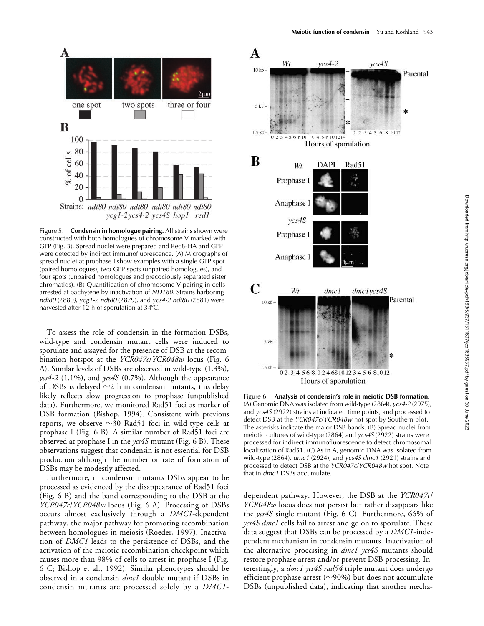

Figure 5. **Condensin in homologue pairing.** All strains shown were constructed with both homologues of chromosome V marked with GFP (Fig. 3). Spread nuclei were prepared and Rec8-HA and GFP were detected by indirect immunofluorescence. (A) Micrographs of spread nuclei at prophase I show examples with a single GFP spot (paired homologues), two GFP spots (unpaired homologues), and four spots (unpaired homologues and precociously separated sister chromatids). (B) Quantification of chromosome V pairing in cells arrested at pachytene by inactivation of *NDT80*. Strains harboring *ndt80* (2880*)*, *ycg1-2 ndt80* (2879)*,* and *ycs4-2 ndt80* (2881) were harvested after 12 h of sporulation at 34°C.

To assess the role of condensin in the formation DSBs, wild-type and condensin mutant cells were induced to sporulate and assayed for the presence of DSB at the recombination hotspot at the *YCR047c*/*YCR048w* locus (Fig. 6 A). Similar levels of DSBs are observed in wild-type (1.3%), *ycs4-2* (1.1%), and *ycs4S* (0.7%). Although the appearance of DSBs is delayed  ${\sim}2$  h in condensin mutants, this delay likely reflects slow progression to prophase (unpublished data). Furthermore, we monitored Rad51 foci as marker of DSB formation (Bishop, 1994). Consistent with previous reports, we observe  ${\sim}30$  Rad51 foci in wild-type cells at prophase I (Fig. 6 B). A similar number of Rad51 foci are observed at prophase I in the *ycs4S* mutant (Fig. 6 B). These observations suggest that condensin is not essential for DSB production although the number or rate of formation of DSBs may be modestly affected.

Furthermore, in condensin mutants DSBs appear to be processed as evidenced by the disappearance of Rad51 foci (Fig. 6 B) and the band corresponding to the DSB at the *YCR047c*/*YCR048w* locus (Fig. 6 A). Processing of DSBs occurs almost exclusively through a *DMC1*-dependent pathway, the major pathway for promoting recombination between homologues in meiosis (Roeder, 1997). Inactivation of *DMC1* leads to the persistence of DSBs, and the activation of the meiotic recombination checkpoint which causes more than 98% of cells to arrest in prophase I (Fig. 6 C; Bishop et al., 1992). Similar phenotypes should be observed in a condensin *dmc1* double mutant if DSBs in condensin mutants are processed solely by a *DMC1*-



Figure 6. **Analysis of condensin's role in meiotic DSB formation.** (A) Genomic DNA was isolated from wild-type (2864), *ycs4-2* (2975), and *ycs4S* (2922) strains at indicated time points, and processed to detect DSB at the *YCR047c*/*YCR048w* hot spot by Southern blot. The asterisks indicate the major DSB bands. (B) Spread nuclei from meiotic cultures of wild-type (2864) and *ycs4S* (2922) strains were processed for indirect immunofluorescence to detect chromosomal localization of Rad51. (C) As in A, genomic DNA was isolated from wild-type (2864), *dmc1* (2924), and *ycs4S dmc1* (2921) strains and processed to detect DSB at the *YCR047c*/*YCR048w* hot spot. Note that in *dmc1* DSBs accumulate.

dependent pathway. However, the DSB at the *YCR047c*/ *YCR048w* locus does not persist but rather disappears like the *ycs4S* single mutant (Fig. 6 C). Furthermore, 66% of *ycs4S dmc1* cells fail to arrest and go on to sporulate. These data suggest that DSBs can be processed by a *DMC1*-independent mechanism in condensin mutants. Inactivation of the alternative processing in *dmc1 ycs4S* mutants should restore prophase arrest and/or prevent DSB processing. Interestingly, a *dmc1 ycs4S rad54* triple mutant does undergo efficient prophase arrest ( $\sim$ 90%) but does not accumulate DSBs (unpublished data), indicating that another mecha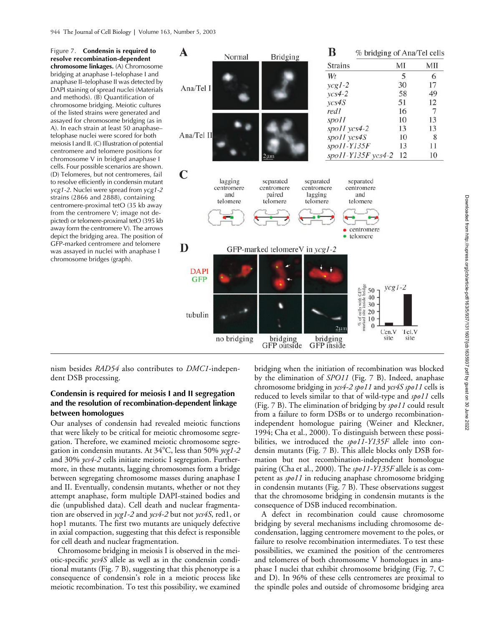Figure 7. **Condensin is required to resolve recombination-dependent chromosome linkages.** (A) Chromosome bridging at anaphase I–telophase I and anaphase II–telophase II was detected by DAPI staining of spread nuclei (Materials and methods). (B) Quantification of chromosome bridging. Meiotic cultures of the listed strains were generated and assayed for chromosome bridging (as in A). In each strain at least 50 anaphase– telophase nuclei were scored for both meiosis I and II. (C) Illustration of potential centromere and telomere positions for chromosome V in bridged anaphase I cells. Four possible scenarios are shown. (D) Telomeres, but not centromeres, fail to resolve efficiently in condensin mutant *ycg1-2*. Nuclei were spread from *ycg1-2* strains (2866 and 2888), containing centromere-proximal tetO (35 kb away from the centromere V; image not depicted) or telomere-proximal tetO (395 kb away form the centromere V). The arrows depict the bridging area. The position of GFP-marked centromere and telomere was assayed in nuclei with anaphase I chromosome bridges (graph).



nism besides *RAD54* also contributes to *DMC1*-independent DSB processing.

## **Condensin is required for meiosis I and II segregation and the resolution of recombination-dependent linkage between homologues**

Our analyses of condensin had revealed meiotic functions that were likely to be critical for meiotic chromosome segregation. Therefore, we examined meiotic chromosome segregation in condensin mutants. At 34C, less than 50% *ycg1-2* and 30% *ycs4-2* cells initiate meiotic I segregation. Furthermore, in these mutants, lagging chromosomes form a bridge between segregating chromosome masses during anaphase I and II. Eventually, condensin mutants, whether or not they attempt anaphase, form multiple DAPI-stained bodies and die (unpublished data). Cell death and nuclear fragmentation are observed in *ycg1-2* and *ycs4-2* but not *ycs4S*, red1, or hop1 mutants. The first two mutants are uniquely defective in axial compaction, suggesting that this defect is responsible for cell death and nuclear fragmentation.

Chromosome bridging in meiosis I is observed in the meiotic-specific *ycs4S* allele as well as in the condensin conditional mutants (Fig. 7 B), suggesting that this phenotype is a consequence of condensin's role in a meiotic process like meiotic recombination. To test this possibility, we examined

bridging when the initiation of recombination was blocked by the elimination of *SPO11* (Fig. 7 B). Indeed, anaphase chromosome bridging in *ycs4-2 spo11* and *ycs4S spo11* cells is reduced to levels similar to that of wild-type and *spo11* cells (Fig. 7 B). The elimination of bridging by *spo11* could result from a failure to form DSBs or to undergo recombinationindependent homologue pairing (Weiner and Kleckner, 1994; Cha et al., 2000). To distinguish between these possibilities, we introduced the *spo11-Y135F* allele into condensin mutants (Fig. 7 B). This allele blocks only DSB formation but not recombination-independent homologue pairing (Cha et al., 2000). The *spo11-Y135F* allele is as competent as *spo11* in reducing anaphase chromosome bridging in condensin mutants (Fig. 7 B). These observations suggest that the chromosome bridging in condensin mutants is the consequence of DSB induced recombination.

A defect in recombination could cause chromosome bridging by several mechanisms including chromosome decondensation, lagging centromere movement to the poles, or failure to resolve recombination intermediates. To test these possibilities, we examined the position of the centromeres and telomeres of both chromosome V homologues in anaphase I nuclei that exhibit chromosome bridging (Fig. 7, C and D). In 96% of these cells centromeres are proximal to the spindle poles and outside of chromosome bridging area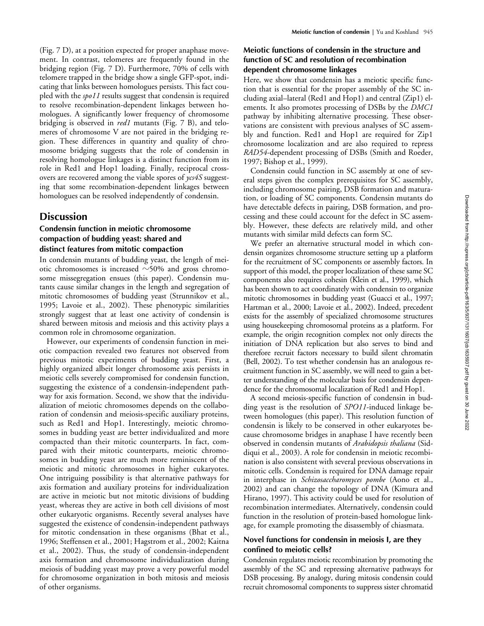(Fig. 7 D), at a position expected for proper anaphase movement. In contrast, telomeres are frequently found in the bridging region (Fig. 7 D). Furthermore, 70% of cells with telomere trapped in the bridge show a single GFP-spot, indicating that links between homologues persists. This fact coupled with the *spo11* results suggest that condensin is required to resolve recombination-dependent linkages between homologues. A significantly lower frequency of chromosome bridging is observed in *red1* mutants (Fig. 7 B), and telomeres of chromosome V are not paired in the bridging region. These differences in quantity and quality of chromosome bridging suggests that the role of condensin in resolving homologue linkages is a distinct function from its role in Red1 and Hop1 loading. Finally, reciprocal crossovers are recovered among the viable spores of *ycs4S* suggesting that some recombination-dependent linkages between homologues can be resolved independently of condensin.

## **Discussion**

## **Condensin function in meiotic chromosome compaction of budding yeast: shared and distinct features from mitotic compaction**

In condensin mutants of budding yeast, the length of meiotic chromosomes is increased  $\sim$ 50% and gross chromosome missegregation ensues (this paper). Condensin mutants cause similar changes in the length and segregation of mitotic chromosomes of budding yeast (Strunnikov et al., 1995; Lavoie et al., 2002). These phenotypic similarities strongly suggest that at least one activity of condensin is shared between mitosis and meiosis and this activity plays a common role in chromosome organization.

However, our experiments of condensin function in meiotic compaction revealed two features not observed from previous mitotic experiments of budding yeast. First, a highly organized albeit longer chromosome axis persists in meiotic cells severely compromised for condensin function, suggesting the existence of a condensin-independent pathway for axis formation. Second, we show that the individualization of meiotic chromosomes depends on the collaboration of condensin and meiosis-specific auxiliary proteins, such as Red1 and Hop1. Interestingly, meiotic chromosomes in budding yeast are better individualized and more compacted than their mitotic counterparts. In fact, compared with their mitotic counterparts, meiotic chromosomes in budding yeast are much more reminiscent of the meiotic and mitotic chromosomes in higher eukaryotes. One intriguing possibility is that alternative pathways for axis formation and auxiliary proteins for individualization are active in meiotic but not mitotic divisions of budding yeast, whereas they are active in both cell divisions of most other eukaryotic organisms. Recently several analyses have suggested the existence of condensin-independent pathways for mitotic condensation in these organisms (Bhat et al., 1996; Steffensen et al., 2001; Hagstrom et al., 2002; Kaitna et al., 2002). Thus, the study of condensin-independent axis formation and chromosome individualization during meiosis of budding yeast may prove a very powerful model for chromosome organization in both mitosis and meiosis of other organisms.

## **Meiotic functions of condensin in the structure and function of SC and resolution of recombination dependent chromosome linkages**

Here, we show that condensin has a meiotic specific function that is essential for the proper assembly of the SC including axial–lateral (Red1 and Hop1) and central (Zip1) elements. It also promotes processing of DSBs by the *DMC1* pathway by inhibiting alternative processing. These observations are consistent with previous analyses of SC assembly and function. Red1 and Hop1 are required for Zip1 chromosome localization and are also required to repress *RAD54*-dependent processing of DSBs (Smith and Roeder, 1997; Bishop et al., 1999).

Condensin could function in SC assembly at one of several steps given the complex prerequisites for SC assembly, including chromosome pairing, DSB formation and maturation, or loading of SC components. Condensin mutants do have detectable defects in pairing, DSB formation, and processing and these could account for the defect in SC assembly. However, these defects are relatively mild, and other mutants with similar mild defects can form SC.

We prefer an alternative structural model in which condensin organizes chromosome structure setting up a platform for the recruitment of SC components or assembly factors. In support of this model, the proper localization of these same SC components also requires cohesin (Klein et al., 1999), which has been shown to act coordinately with condensin to organize mitotic chromosomes in budding yeast (Guacci et al., 1997; Hartman et al., 2000; Lavoie et al., 2002). Indeed, precedent exists for the assembly of specialized chromosome structures using housekeeping chromosomal proteins as a platform. For example, the origin recognition complex not only directs the initiation of DNA replication but also serves to bind and therefore recruit factors necessary to build silent chromatin (Bell, 2002). To test whether condensin has an analogous recruitment function in SC assembly, we will need to gain a better understanding of the molecular basis for condensin dependence for the chromosomal localization of Red1 and Hop1.

A second meiosis-specific function of condensin in budding yeast is the resolution of *SPO11*-induced linkage between homologues (this paper). This resolution function of condensin is likely to be conserved in other eukaryotes because chromosome bridges in anaphase I have recently been observed in condensin mutants of *Arabidopsis thaliana* (Siddiqui et al., 2003). A role for condensin in meiotic recombination is also consistent with several previous observations in mitotic cells. Condensin is required for DNA damage repair in interphase in *Schizosaccharomyces pombe* (Aono et al., 2002) and can change the topology of DNA (Kimura and Hirano, 1997). This activity could be used for resolution of recombination intermediates. Alternatively, condensin could function in the resolution of protein-based homologue linkage, for example promoting the disassembly of chiasmata.

## **Novel functions for condensin in meiosis I, are they confined to meiotic cells?**

Condensin regulates meiotic recombination by promoting the assembly of the SC and repressing alternative pathways for DSB processing. By analogy, during mitosis condensin could recruit chromosomal components to suppress sister chromatid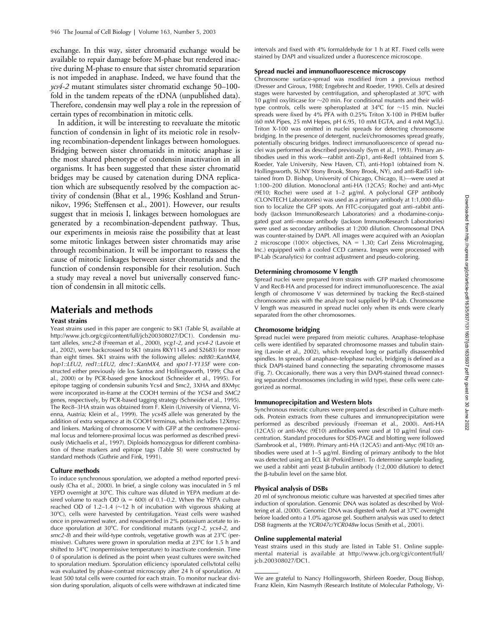exchange. In this way, sister chromatid exchange would be available to repair damage before M-phase but rendered inactive during M-phase to ensure that sister chromatid separation is not impeded in anaphase. Indeed, we have found that the *ycs4-2* mutant stimulates sister chromatid exchange 50–100 fold in the tandem repeats of the rDNA (unpublished data). Therefore, condensin may well play a role in the repression of certain types of recombination in mitotic cells.

In addition, it will be interesting to reevaluate the mitotic function of condensin in light of its meiotic role in resolving recombination-dependent linkages between homologues. Bridging between sister chromatids in mitotic anaphase is the most shared phenotype of condensin inactivation in all organisms. It has been suggested that these sister chromatid bridges may be caused by catenation during DNA replication which are subsequently resolved by the compaction activity of condensin (Bhat et al., 1996; Koshland and Strunnikov, 1996; Steffensen et al., 2001). However, our results suggest that in meiosis I, linkages between homologues are generated by a recombination-dependent pathway. Thus, our experiments in meiosis raise the possibility that at least some mitotic linkages between sister chromatids may arise through recombination. It will be important to reassess the cause of mitotic linkages between sister chromatids and the function of condensin responsible for their resolution. Such a study may reveal a novel but universally conserved function of condensin in all mitotic cells.

# **Materials and methods**

#### **Yeast strains**

Yeast strains used in this paper are congenic to SK1 (Table SI, available at http://www.jcb.org/cgi/content/full/jcb200308027/DC1). Condensin mutant alleles, *smc2-8* (Freeman et al., 2000), *ycg1-2,* and *ycs4-2* (Lavoie et al., 2002), were backcrossed to SK1 (strains RKY1145 and S2683) for more than eight times. SK1 strains with the following alleles: *ndt80::KanMX4*, *hop1::LEU2*, *red1::LEU2*, *dmc1::KanMX4,* and *spo11-Y135F* were constructed either previously (de los Santos and Hollingsworth, 1999; Cha et al., 2000) or by PCR-based gene knockout (Schneider et al., 1995). For epitope tagging of condensin subunits Ycs4 and Smc2, 3XHA and 8XMyc were incorporated in-frame at the COOH termini of the *YCS4* and *SMC2* genes, respectively, by PCR-based tagging strategy (Schneider et al., 1995). The Rec8–3HA strain was obtained from F. Klein (University of Vienna, Vienna, Austria; Klein et al., 1999). The *ycs4S* allele was generated by the addition of extra sequence at its COOH terminus, which includes 12Xmyc and linkers. Marking of chromosome V with GFP at the centromere-proximal locus and telomere-proximal locus was performed as described previously (Michaelis et al., 1997). Diploids homozygous for different combination of these markers and epitope tags (Table SI) were constructed by standard methods (Guthrie and Fink, 1991).

#### **Culture methods**

To induce synchronous sporulation, we adopted a method reported previously (Cha et al., 2000). In brief, a single colony was inoculated in 5 ml YEPD overnight at 30°C. This culture was diluted in YEPA medium at desired volume to reach OD ( $\lambda = 600$ ) of 0.1–0.2. When the YEPA culture reached OD of 1.2–1.4 ( $\sim$ 12 h of incubation with vigorous shaking at 30°C), cells were harvested by centrifugation. Yeast cells were washed once in prewarmed water, and resuspended in 2% potassium acetate to induce sporulation at 30C. For conditional mutants (*ycg1-2*, *ycs4-2*, and smc2-8) and their wild-type controls, vegetative growth was at 23°C (permissive). Cultures were grown in sporulation media at 23°C for 1.5 h and shifted to 34°C (nonpermissive temperature) to inactivate condensin. Time 0 of sporulation is defined as the point when yeast cultures were switched to sporulation medium. Sporulation efficiency (sporulated cells/total cells) was evaluated by phase-contrast microscopy after 24 h of sporulation. At least 500 total cells were counted for each strain. To monitor nuclear division during sporulation, aliquots of cells were withdrawn at indicated time

intervals and fixed with 4% formaldehyde for 1 h at RT. Fixed cells were stained by DAPI and visualized under a fluorescence microscope.

#### **Spread nuclei and immunofluorescence microscopy**

Chromosome surface-spread was modified from a previous method (Dresser and Giroux, 1988; Engebrecht and Roeder, 1990). Cells at desired stages were harvested by centrifugation, and spheroplasted at 30°C with 10  $\mu$ g/ml oxyliticase for  $\sim$ 20 min. For conditional mutants and their wildtype controls, cells were spheroplasted at 34°C for  $\sim$ 15 min. Nuclei spreads were fixed by 4% PFA with 0.25% Triton X-100 in PHEM buffer  $(60 \text{ mM Pipes}, 25 \text{ mM Hepes}, \text{ pH } 6.95, 10 \text{ mM EGTA}, \text{ and } 4 \text{ mM MgCl}_2).$ Triton X-100 was omitted in nuclei spreads for detecting chromosome bridging. In the presence of detergent, nuclei/chromosomes spread greatly, potentially obscuring bridges. Indirect immunofluorescence of spread nuclei was performed as described previously (Sym et al., 1993). Primary antibodies used in this work—rabbit anti-Zip1, anti-Red1 (obtained from S. Roeder, Yale University, New Haven, CT), anti-Hop1 (obtained from N. Hollingsworth, SUNY Stony Brook, Stony Brook, NY), and anti-Rad51 (obtained from D. Bishop, University of Chicago, Chicago, IL)—were used at 1:100–200 dilution. Monoclonal anti-HA (12CA5; Roche) and anti-Myc (9E10; Roche) were used at 1–2 μg/ml. A polyclonal GFP antibody (CLONTECH Laboratories) was used as a primary antibody at 1:1,000 dilution to localize the GFP spots. An FITC-conjugated goat anti–rabbit antibody (Jackson ImmunoResearch Laboratories) and a rhodamine-conjugated goat anti–mouse antibody (Jackson ImmunoResearch Laboratories) were used as secondary antibodies at 1:200 dilution. Chromosomal DNA was counter-stained by DAPI. All images were acquired with an Axioplan 2 microscope (100 $\times$  objectives, NA = 1.30; Carl Zeiss MicroImaging, Inc.) equipped with a cooled CCD camera. Images were processed with IP-Lab (Scanalytics) for contrast adjustment and pseudo-coloring.

#### **Determining chromosome V length**

Spread nuclei were prepared from strains with GFP marked chromosome V and Rec8-HA and processed for indirect immunofluorescence. The axial length of chromosome V was determined by tracking the Rec8-stained chromosome axis with the analyze tool supplied by IP-Lab. Chromosome V length was measured in spread nuclei only when its ends were clearly separated from the other chromosomes.

#### **Chromosome bridging**

Spread nuclei were prepared from meiotic cultures. Anaphase–telophase cells were identified by separated chromosome masses and tubulin staining (Lavoie et al., 2002), which revealed long or partially disassembled spindles. In spreads of anaphase–telophase nuclei, bridging is defined as a thick DAPI-stained band connecting the separating chromosome masses (Fig. 7). Occasionally, there was a very thin DAPI-stained thread connecting separated chromosomes (including in wild type), these cells were categorized as normal.

#### **Immunoprecipitation and Western blots**

Synchronous meiotic cultures were prepared as described in Culture methods. Protein extracts from these cultures and immunoprecipitation were performed as described previously (Freeman et al., 2000). Anti-HA (12CA5) or anti-Myc (9E10) antibodies were used at 10  $\mu$ g/ml final concentration. Standard procedures for SDS-PAGE and blotting were followed (Sambrook et al., 1989). Primary anti-HA (12CA5) and anti-Myc (9E10) antibodies were used at  $1-5$   $\mu$ g/ml. Binding of primary antibody to the blot was detected using an ECL kit (PerkinElmer). To determine sample loading, we used a rabbit anti yeast  $\beta$ -tubulin antibody (1:2,000 dilution) to detect the  $\beta$ -tubulin level on the same blot.

#### **Physical analysis of DSBs**

20 ml of synchronous meiotic culture was harvested at specified times after induction of sporulation. Genomic DNA was isolated as described by Woltering et al. (2000). Genomic DNA was digested with AseI at 37°C overnight before loaded onto a 1.0% agarose gel. Southern analysis was used to detect DSB fragments at the *YCR047c*/*YCR048w* locus (Smith et al., 2001).

#### **Online supplemental material**

Yeast strains used in this study are listed in Table S1. Online supplemental material is available at http://www.jcb.org/cgi/content/full/ jcb.200308027/DC1.

We are grateful to Nancy Hollingsworth, Shirleen Roeder, Doug Bishop, Franz Klein, Kim Nasmyth (Research Institute of Molecular Pathology, Vi